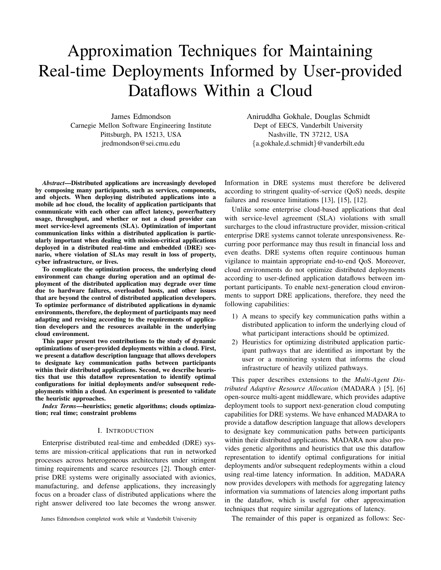# Approximation Techniques for Maintaining Real-time Deployments Informed by User-provided Dataflows Within a Cloud

James Edmondson Carnegie Mellon Software Engineering Institute Pittsburgh, PA 15213, USA jredmondson@sei.cmu.edu

*Abstract*—Distributed applications are increasingly developed by composing many participants, such as services, components, and objects. When deploying distributed applications into a mobile ad hoc cloud, the locality of application participants that communicate with each other can affect latency, power/battery usage, throughput, and whether or not a cloud provider can meet service-level agreements (SLA). Optimization of important communication links within a distributed application is particularly important when dealing with mission-critical applications deployed in a distributed real-time and embedded (DRE) scenario, where violation of SLAs may result in loss of property, cyber infrastructure, or lives.

To complicate the optimization process, the underlying cloud environment can change during operation and an optimal deployment of the distributed application may degrade over time due to hardware failures, overloaded hosts, and other issues that are beyond the control of distributed application developers. To optimize performance of distributed applications in dynamic environments, therefore, the deployment of participants may need adapting and revising according to the requirements of application developers and the resources available in the underlying cloud environment.

This paper present two contributions to the study of dynamic optimizations of user-provided deployments within a cloud. First, we present a dataflow description language that allows developers to designate key communication paths between participants within their distributed applications. Second, we describe heuristics that use this dataflow representation to identify optimal configurations for initial deployments and/or subsequent redeployments within a cloud. An experiment is presented to validate the heuristic approaches.

*Index Terms*—heuristics; genetic algorithms; clouds optimization; real time; constraint problems

# I. INTRODUCTION

Enterprise distributed real-time and embedded (DRE) systems are mission-critical applications that run in networked processes across heterogeneous architectures under stringent timing requirements and scarce resources [2]. Though enterprise DRE systems were originally associated with avionics, manufacturing, and defense applications, they increasingly focus on a broader class of distributed applications where the right answer delivered too late becomes the wrong answer. Aniruddha Gokhale, Douglas Schmidt Dept of EECS, Vanderbilt University Nashville, TN 37212, USA {a.gokhale,d.schmidt}@vanderbilt.edu

Information in DRE systems must therefore be delivered according to stringent quality-of-service (QoS) needs, despite failures and resource limitations [13], [15], [12].

Unlike some enterprise cloud-based applications that deal with service-level agreement (SLA) violations with small surcharges to the cloud infrastructure provider, mission-critical enterprise DRE systems cannot tolerate unresponsiveness. Recurring poor performance may thus result in financial loss and even deaths. DRE systems often require continuous human vigilance to maintain appropriate end-to-end QoS. Moreover, cloud environments do not optimize distributed deployments according to user-defined application dataflows between important participants. To enable next-generation cloud environments to support DRE applications, therefore, they need the following capabilities:

- 1) A means to specify key communication paths within a distributed application to inform the underlying cloud of what participant interactions should be optimized.
- 2) Heuristics for optimizing distributed application participant pathways that are identified as important by the user or a monitoring system that informs the cloud infrastructure of heavily utilized pathways.

This paper describes extensions to the *Multi-Agent Distributed Adaptive Resource Allocation* (MADARA ) [5], [6] open-source multi-agent middleware, which provides adaptive deployment tools to support next-generation cloud computing capabilities for DRE systems. We have enhanced MADARA to provide a dataflow description language that allows developers to designate key communication paths between participants within their distributed applications. MADARA now also provides genetic algorithms and heuristics that use this dataflow representation to identify optimal configurations for initial deployments and/or subsequent redeployments within a cloud using real-time latency information. In addition, MADARA now provides developers with methods for aggregating latency information via summations of latencies along important paths in the dataflow, which is useful for other approximation techniques that require similar aggregations of latency.

The remainder of this paper is organized as follows: Sec-

James Edmondson completed work while at Vanderbilt University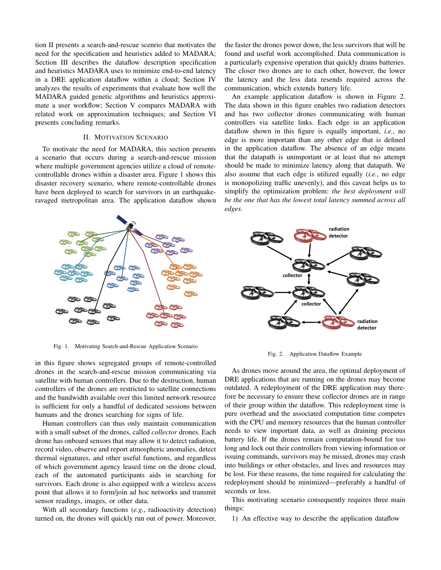tion II presents a search-and-rescue scenrio that motivates the need for the specification and heuristics added to MADARA; Section III describes the dataflow description specification and heuristics MADARA uses to minimize end-to-end latency in a DRE application dataflow within a cloud; Section IV analyzes the results of experiments that evaluate how well the MADARA guided genetic algorithms and heuristics approximate a user workflow; Section V compares MADARA with related work on approximation techniques; and Section VI presents concluding remarks.

## II. MOTIVATION SCENARIO

To motivate the need for MADARA, this section presents a scenario that occurs during a search-and-rescue mission where multiple government agencies utilize a cloud of remotecontrollable drones within a disaster area. Figure 1 shows this disaster recovery scenario, where remote-controllable drones have been deployed to search for survivors in an earthquakeravaged metropolitan area. The application dataflow shown

නි æ E

Fig. 1. Motivating Search-and-Rescue Application Scenario

in this figure shows segregated groups of remote-controlled drones in the search-and-rescue mission communicating via satellite with human controllers. Due to the destruction, human controllers of the drones are restricted to satellite connections and the bandwidth available over this limited network resource is sufficient for only a handful of dedicated sessions between humans and the drones searching for signs of life.

Human controllers can thus only maintain communication with a small subset of the drones, called *collector* drones. Each drone has onboard sensors that may allow it to detect radiation, record video, observe and report atmospheric anomalies, detect thermal signatures, and other useful functions, and regardless of which government agency leased time on the drone cloud, each of the automated participants aids in searching for survivors. Each drone is also equipped with a wireless access point that allows it to form/join ad hoc networks and transmit sensor readings, images, or other data.

With all secondary functions (*e.g.*, radioactivity detection) turned on, the drones will quickly run out of power. Moreover, the faster the drones power down, the less survivors that will be found and useful work accomplished. Data communication is a particularly expensive operation that quickly drains batteries. The closer two drones are to each other, however, the lower the latency and the less data resends required across the communication, which extends battery life.

An example application dataflow is shown in Figure 2. The data shown in this figure enables two radiation detectors and has two collector drones communicating with human controllers via satellite links. Each edge in an application dataflow shown in this figure is equally important, *i.e.*, no edge is more important than any other edge that is defined in the application dataflow. The absence of an edge means that the datapath is unimportant or at least that no attempt should be made to minimize latency along that datapath. We also assume that each edge is utilized equally (*i.e.*, no edge is monopolizing traffic unevenly), and this caveat helps us to simplify the optimization problem: *the best deployment will be the one that has the lowest total latency summed across all edges*.



Fig. 2. Application Dataflow Example

As drones move around the area, the optimal deployment of DRE applications that are running on the drones may become outdated. A redeployment of the DRE application may therefore be necessary to ensure these collector drones are in range of their group within the dataflow. This redeployment time is pure overhead and the associated computation time competes with the CPU and memory resources that the human controller needs to view important data, as well as draining precious battery life. If the drones remain computation-bound for too long and lock out their controllers from viewing information or issuing commands, survivors may be missed, drones may crash into buildings or other obstacles, and lives and resources may be lost. For these reasons, the time required for calculating the redeployment should be minimized—preferably a handful of seconds or less.

This motivating scenario consequently requires three main things:

1) An effective way to describe the application dataflow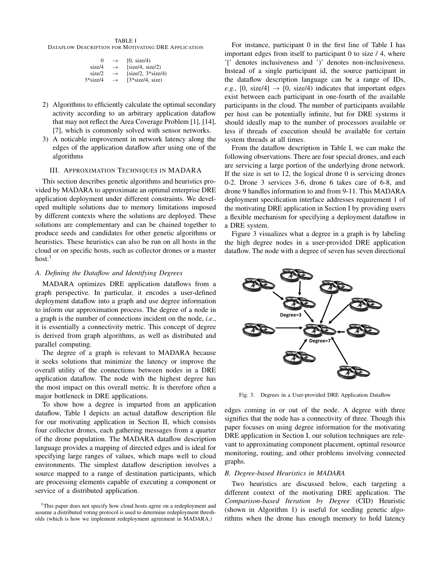#### TABLE I DATAFLOW DESCRIPTION FOR MOTIVATING DRE APPLICATION

| 0          | $\rightarrow$ | [0, size/4)           |
|------------|---------------|-----------------------|
| size/4     | $\rightarrow$ | [size/4, size/2)      |
| size/2     | $\rightarrow$ | [size/2, $3*size/4$ ] |
| $3*size/4$ | $\rightarrow$ | $[3*size/4, size)$    |

- 2) Algorithms to efficiently calculate the optimal secondary activity according to an arbitrary application dataflow that may not reflect the Area Coverage Problem [1], [14], [7], which is commonly solved with sensor networks.
- 3) A noticable improvement in network latency along the edges of the application dataflow after using one of the algorithms

## III. APPROXIMATION TECHNIQUES IN MADARA

This section describes genetic algorithms and heuristics provided by MADARA to approximate an optimal enterprise DRE application deployment under different constraints. We developed multiple solutions due to memory limitations imposed by different contexts where the solutions are deployed. These solutions are complementary and can be chained together to produce seeds and candidates for other genetic algorithms or heuristics. These heuristics can also be run on all hosts in the cloud or on specific hosts, such as collector drones or a master  $host.<sup>1</sup>$ 

# *A. Defining the Dataflow and Identifying Degrees*

MADARA optimizes DRE application dataflows from a graph perspective. In particular, it encodes a user-defined deployment dataflow into a graph and use degree information to inform our approximation process. The degree of a node in a graph is the number of connections incident on the node, *i.e.*, it is essentially a connectivity metric. This concept of degree is derived from graph algorithms, as well as distributed and parallel computing.

The degree of a graph is relevant to MADARA because it seeks solutions that minimize the latency or improve the overall utility of the connections between nodes in a DRE application dataflow. The node with the highest degree has the most impact on this overall metric. It is therefore often a major bottleneck in DRE applications.

To show how a degree is imparted from an application dataflow, Table I depicts an actual dataflow description file for our motivating application in Section II, which consists four collector drones, each gathering messages from a quarter of the drone population. The MADARA dataflow description language provides a mapping of directed edges and is ideal for specifying large ranges of values, which maps well to cloud environments. The simplest dataflow description involves a source mapped to a range of destination participants, which are processing elements capable of executing a component or service of a distributed application.

For instance, participant 0 in the first line of Table I has important edges from itself to participant 0 to size / 4, where '[' denotes inclusiveness and ')' denotes non-inclusiveness. Instead of a single participant id, the source participant in the dataflow description language can be a range of IDs, *e.g.*, [0, size/4]  $\rightarrow$  [0, size/4) indicates that important edges exist between each participant in one-fourth of the available participants in the cloud. The number of participants available per host can be potentially infinite, but for DRE systems it should ideally map to the number of processors available or less if threads of execution should be available for certain system threads at all times.

From the dataflow description in Table I, we can make the following observations. There are four special drones, and each are servicing a large portion of the underlying drone network. If the size is set to 12, the logical drone 0 is servicing drones 0-2. Drone 3 services 3-6, drone 6 takes care of 6-8, and drone 9 handles information to and from 9-11. This MADARA deployment specification interface addresses requirement 1 of the motivating DRE application in Section I by providing users a flexible mechanism for specifying a deployment dataflow in a DRE system.

Figure 3 visualizes what a degree in a graph is by labeling the high degree nodes in a user-provided DRE application dataflow. The node with a degree of seven has seven directional



Fig. 3. Degrees in a User-provided DRE Application Dataflow

edges coming in or out of the node. A degree with three signifies that the node has a connectivity of three. Though this paper focuses on using degree information for the motivating DRE application in Section I, our solution techniques are relevant to approximating component placement, optimal resource monitoring, routing, and other problems involving connected graphs.

#### *B. Degree-based Heuristics in MADARA*

Two heuristics are discussed below, each targeting a different context of the motivating DRE application. The *Comparison-based Iteration by Degree* (CID) Heuristic (shown in Algorithm 1) is useful for seeding genetic algorithms when the drone has enough memory to hold latency

<sup>&</sup>lt;sup>1</sup>This paper does not specify how cloud hosts agree on a redeployment and assume a distributed voting protocol is used to determine redeployment thresholds (which is how we implement redeployment agreement in MADARA.)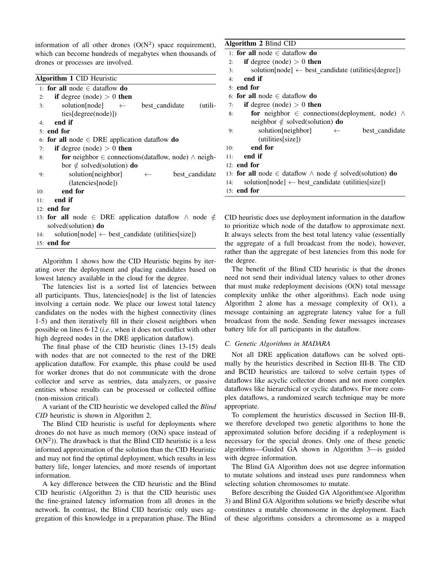information of all other drones  $(O(N^2))$  space requirement), which can become hundreds of megabytes when thousands of drones or processes are involved.

| <b>Algorithm 1 CID Heuristic</b> |                                                                               |  |  |  |
|----------------------------------|-------------------------------------------------------------------------------|--|--|--|
|                                  | 1: for all node $\in$ dataflow do                                             |  |  |  |
| 2:                               | if degree (node) $> 0$ then                                                   |  |  |  |
|                                  | solution[node] $\leftarrow$<br>best candidate<br>(utili-<br>3:                |  |  |  |
|                                  | ties[degree(node)]                                                            |  |  |  |
| 4:                               | end if                                                                        |  |  |  |
|                                  | $5:$ end for                                                                  |  |  |  |
|                                  | 6: for all node $\in$ DRE application dataflow do                             |  |  |  |
| 7:                               | if degree (node) $> 0$ then                                                   |  |  |  |
| 8:                               | for neighbor $\in$ connections (dataflow, node) $\wedge$ neigh-               |  |  |  |
|                                  | bor $\notin$ solved(solution) <b>do</b>                                       |  |  |  |
| 9:                               | solution[neighbor] $\leftarrow$<br>best candidate                             |  |  |  |
|                                  | (latencies[node])                                                             |  |  |  |
|                                  | end for<br>10:                                                                |  |  |  |
| 11:                              | end if                                                                        |  |  |  |
|                                  | $12:$ end for                                                                 |  |  |  |
|                                  | 13: <b>for all</b> node $\in$ DRE application dataflow $\wedge$ node $\notin$ |  |  |  |
|                                  | solved(solution) <b>do</b>                                                    |  |  |  |
| 14:                              | solution [node] $\leftarrow$ best candidate (utilities [size])                |  |  |  |
|                                  | $15:$ end for                                                                 |  |  |  |

Algorithm 1 shows how the CID Heuristic begins by iterating over the deployment and placing candidates based on lowest latency available in the cloud for the degree.

The latencies list is a sorted list of latencies between all participants. Thus, latencies[node] is the list of latencies involving a certain node. We place our lowest total latency candidates on the nodes with the highest connectivity (lines 1-5) and then iteratively fill in their closest neighbors when possible on lines 6-12 (*i.e.*, when it does not conflict with other high degreed nodes in the DRE application dataflow).

The final phase of the CID heuristic (lines 13-15) deals with nodes that are not connected to the rest of the DRE application dataflow. For example, this phase could be used for worker drones that do not communicate with the drone collector and serve as sentries, data analyzers, or passive entities whose results can be processed or collected offline (non-mission critical).

A variant of the CID heuristic we developed called the *Blind CID* heuristic is shown in Algorithm 2.

The Blind CID heuristic is useful for deployments where drones do not have as much memory (O(N) space instead of  $O(N^2)$ ). The drawback is that the Blind CID heuristic is a less informed approximation of the solution than the CID Heuristic and may not find the optimal deployment, which results in less battery life, longer latencies, and more resends of important information.

A key difference between the CID heuristic and the Blind CID heuristic (Algorithm 2) is that the CID heuristic uses the fine-grained latency information from all drones in the network. In contrast, the Blind CID heuristic only uses aggregation of this knowledge in a preparation phase. The Blind

- 1: for all node  $\in$  dataflow do
- 2: if degree (node)  $> 0$  then
- 3: solution[node]  $\leftarrow$  best\_candidate (utilities[degree])
- 4: end if
- 5: end for
- 6: for all node ∈ dataflow do
- 7: if degree (node)  $> 0$  then
- 8: for neighbor ∈ connections(deployment, node) ∧ neighbor  $\notin$  solved(solution) **do**
- 9: solution[neighbor] ← best\_candidate (utilities[size])
- 10: end for
- $11:$  end if
- 12: end for
- 13: **for all** node ∈ dataflow  $\land$  node  $\notin$  solved(solution) **do**
- 14: solution[node]  $\leftarrow$  best\_candidate (utilities[size])
- 15: end for

CID heuristic does use deployment information in the dataflow to prioritize which node of the dataflow to approximate next. It always selects from the best total latency value (essentially the aggregate of a full broadcast from the node), however, rather than the aggregate of best latencies from this node for the degree.

The benefit of the Blind CID heuristic is that the drones need not send their individual latency values to other drones that must make redeployment decisions  $(O(N))$  total message complexity unlike the other algorithms). Each node using Algorithm 2 alone has a message complexity of  $O(1)$ , a message containing an aggregrate latency value for a full broadcast from the node. Sending fewer messages increases battery life for all participants in the dataflow.

# *C. Genetic Algorithms in MADARA*

Not all DRE application dataflows can be solved optimally by the heuristics described in Section III-B. The CID and BCID heuristics are tailored to solve certain types of dataflows like acyclic collector drones and not more complex dataflows like hierarchical or cyclic dataflows. For more complex dataflows, a randomized search technique may be more appropriate.

To complement the heuristics discussed in Section III-B, we therefore developed two genetic algorithms to hone the approximated solution before deciding if a redeployment is necessary for the special drones. Only one of these genetic algorithms—Guided GA shown in Algorithm 3—is guided with degree information.

The Blind GA Algorithm does not use degree information to mutate solutions and instead uses pure randomness when selecting solution chromosomes to mutate.

Before describing the Guided GA Algorithm(see Algorithm 3) and Blind GA Algorithm solutions we briefly describe what constitutes a mutable chromosome in the deployment. Each of these algorithms considers a chromosome as a mapped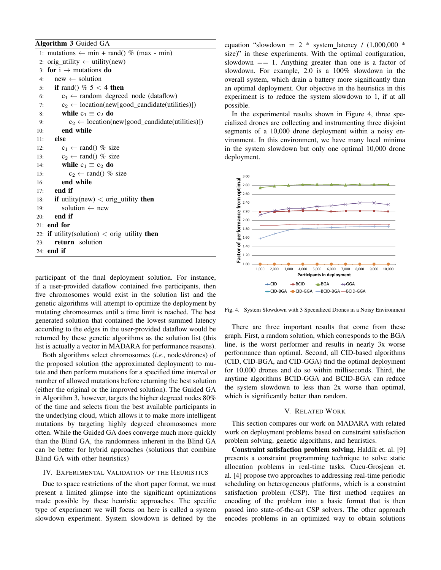Algorithm 3 Guided GA

1: mutations  $\leftarrow$  min + rand() % (max - min) 2: orig\_utility  $\leftarrow$  utility(new) 3: for  $i \rightarrow$  mutations do  $4:$  new  $\leftarrow$  solution 5: if rand() %  $5 < 4$  then 6:  $c_1 \leftarrow \text{random\_degreed\_node (dataflow)}$ 7:  $c_2 \leftarrow location(new[good\_candidate(utilities)])$ 8: while  $c_1 \equiv c_2$  do 9:  $c_2 \leftarrow location(new[good\_candidate(utilities)])$ 10: end while 11: else 12:  $c_1 \leftarrow \text{rand}()$  % size 13:  $c_2 \leftarrow \text{rand}() \%$  size 14: **while**  $c_1 \equiv c_2$  **do** 15:  $c_2 \leftarrow \text{rand}()$  % size 16: end while 17: end if 18: **if** utility(new)  $\langle$  orig utility then 19: solution  $\leftarrow$  new 20: end if 21: end for 22: if utility(solution)  $\langle$  orig\_utility then 23: return solution 24: end if

participant of the final deployment solution. For instance, if a user-provided dataflow contained five participants, then five chromosomes would exist in the solution list and the genetic algorithms will attempt to optimize the deployment by mutating chromosomes until a time limit is reached. The best generated solution that contained the lowest summed latency according to the edges in the user-provided dataflow would be returned by these genetic algorithms as the solution list (this list is actually a vector in MADARA for performance reasons).

Both algorithms select chromosomes (*i.e.*, nodes/drones) of the proposed solution (the approximated deployment) to mutate and then perform mutations for a specified time interval or number of allowed mutations before returning the best solution (either the original or the improved solution). The Guided GA in Algorithm 3, however, targets the higher degreed nodes 80% of the time and selects from the best available participants in the underlying cloud, which allows it to make more intelligent mutations by targeting highly degreed chromosomes more often. While the Guided GA does converge much more quickly than the Blind GA, the randomness inherent in the Blind GA can be better for hybrid approaches (solutions that combine Blind GA with other heuristics)

## IV. EXPERIMENTAL VALIDATION OF THE HEURISTICS

Due to space restrictions of the short paper format, we must present a limited glimpse into the significant optimizations made possible by these heuristic approaches. The specific type of experiment we will focus on here is called a system slowdown experiment. System slowdown is defined by the equation "slowdown =  $2 *$  system\_latency / (1,000,000  $*$ size)" in these experiments. With the optimal configuration, slowdown  $== 1$ . Anything greater than one is a factor of slowdown. For example, 2.0 is a 100% slowdown in the overall system, which drain a battery more significantly than an optimal deployment. Our objective in the heuristics in this experiment is to reduce the system slowdown to 1, if at all possible.

In the experimental results shown in Figure 4, three specialized drones are collecting and instrumenting three disjoint segments of a 10,000 drone deployment within a noisy environment. In this environment, we have many local minima in the system slowdown but only one optimal 10,000 drone deployment.



Fig. 4. System Slowdown with 3 Specialized Drones in a Noisy Environment

There are three important results that come from these graph. First, a random solution, which corresponds to the BGA line, is the worst performer and results in nearly 3x worse performance than optimal. Second, all CID-based algorithms (CID, CID-BGA, and CID-GGA) find the optimal deployment for 10,000 drones and do so within milliseconds. Third, the anytime algorithms BCID-GGA and BCID-BGA can reduce the system slowdown to less than 2x worse than optimal, which is significantly better than random.

## V. RELATED WORK

This section compares our work on MADARA with related work on deployment problems based on constraint satisfaction problem solving, genetic algorithms, and heuristics.

Constraint satisfaction problem solving. Haldik et. al. [9] presents a constraint programming technique to solve static allocation problems in real-time tasks. Cucu-Grosjean et. al. [4] propose two approaches to addressing real-time periodic scheduling on heterogeneous platforms, which is a constraint satisfaction problem (CSP). The first method requires an encoding of the problem into a basic format that is then passed into state-of-the-art CSP solvers. The other approach encodes problems in an optimized way to obtain solutions